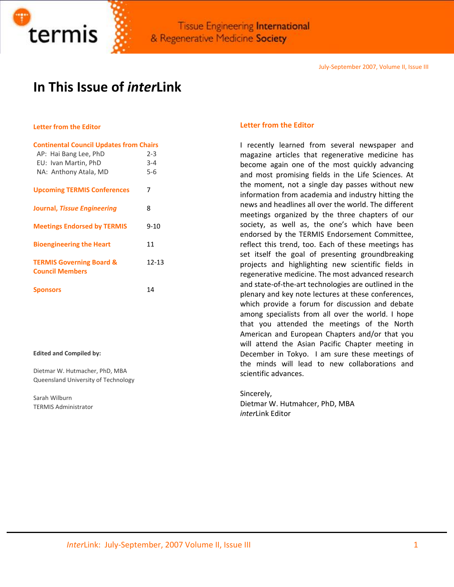

# **In This Issue of** *inter***Link**

# **Letter from the Editor**

| <b>Continental Council Updates from Chairs</b>                |           |
|---------------------------------------------------------------|-----------|
| AP: Hai Bang Lee, PhD                                         | $2 - 3$   |
| EU: Ivan Martin, PhD                                          | $3 - 4$   |
| NA: Anthony Atala, MD                                         | $5-6$     |
| <b>Upcoming TERMIS Conferences</b>                            | 7         |
| Journal, Tissue Engineering                                   | 8         |
| <b>Meetings Endorsed by TERMIS</b>                            | $9 - 10$  |
| <b>Bioengineering the Heart</b>                               | 11        |
| <b>TERMIS Governing Board &amp;</b><br><b>Council Members</b> | $12 - 13$ |
| <b>Sponsors</b>                                               | 14        |

#### **Edited and Compiled by:**

Dietmar W. Hutmacher, PhD, MBA Queensland University of Technology

Sarah Wilburn TERMIS Administrator

## **Letter from the Editor**

I recently learned from several newspaper and magazine articles that regenerative medicine has become again one of the most quickly advancing and most promising fields in the Life Sciences. At the moment, not a single day passes without new information from academia and industry hitting the news and headlines all over the world. The different meetings organized by the three chapters of our society, as well as, the one's which have been endorsed by the TERMIS Endorsement Committee, reflect this trend, too. Each of these meetings has set itself the goal of presenting groundbreaking projects and highlighting new scientific fields in regenerative medicine. The most advanced research and state‐of‐the‐art technologies are outlined in the plenary and key note lectures at these conferences, which provide a forum for discussion and debate among specialists from all over the world. I hope that you attended the meetings of the North American and European Chapters and/or that you will attend the Asian Pacific Chapter meeting in December in Tokyo. I am sure these meetings of the minds will lead to new collaborations and scientific advances.

Sincerely, Dietmar W. Hutmahcer, PhD, MBA *inter*Link Editor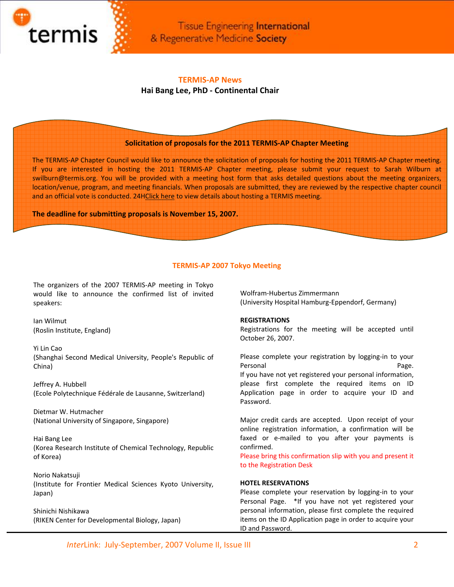

# **TERMIS‐AP News**

# **Hai Bang Lee, PhD ‐ Continental Chair**

# **Solicitation of proposals for the 2011 TERMIS‐AP Chapter Meeting**

The TERMIS‐AP Chapter Council would like to announce the solicitation of proposals for hosting the 2011 TERMIS‐AP Chapter meeting. If you are interested in hosting the 2011 TERMIS-AP Chapter meeting, please submit your request to Sarah Wilburn at swilburn@termis.org. You will be provided with a meeting host form that asks detailed questions about the meeting organizers, location/venue, program, and meeting financials. When proposals are submitted, they are reviewed by the respective chapter council and an official vote is conducted. 24HClick here to view details about hosting a TERMIS meeting.

**The deadline for submitting proposals is November 15, 2007.**

## **TERMIS‐AP 2007 Tokyo Meeting**

The organizers of the 2007 TERMIS‐AP meeting in Tokyo would like to announce the confirmed list of invited speakers:

Ian Wilmut (Roslin Institute, England)

Yi Lin Cao (Shanghai Second Medical University, People's Republic of China)

Jeffrey A. Hubbell (Ecole Polytechnique Fédérale de Lausanne, Switzerland)

Dietmar W. Hutmacher (National University of Singapore, Singapore)

Hai Bang Lee (Korea Research Institute of Chemical Technology, Republic of Korea)

Norio Nakatsuji (Institute for Frontier Medical Sciences Kyoto University, Japan)

Shinichi Nishikawa (RIKEN Center for Developmental Biology, Japan) Wolfram‐Hubertus Zimmermann (University Hospital Hamburg‐Eppendorf, Germany)

#### **REGISTRATIONS**

Registrations for the meeting will be accepted until October 26, 2007.

Please complete your registration by logging‐in to your Personal **Page.** If you have not yet registered your personal information, please first complete the required items on ID Application page in order to acquire your ID and Password.

Major credit cards are accepted. Upon receipt of your online registration information, a confirmation will be faxed or e-mailed to you after your payments is confirmed.

Please bring this confirmation slip with you and present it to the Registration Desk

#### **HOTEL RESERVATIONS**

Please complete your reservation by logging‐in to your Personal Page. \* If you have not yet registered your personal information, please first complete the required items on the ID Application page in order to acquire your ID and Password.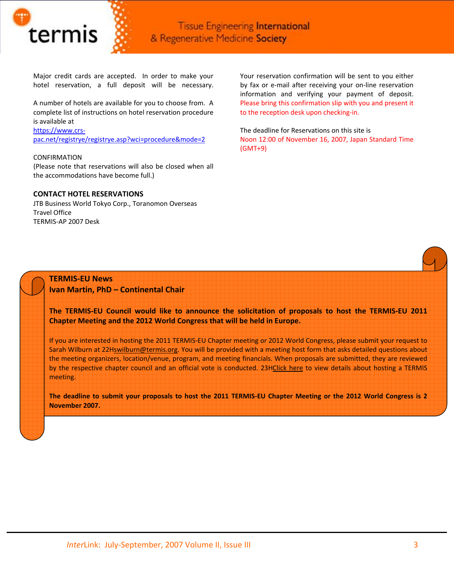

Major credit cards are accepted. In order to make your hotel reservation, a full deposit will be necessary.

A number of hotels are available for you to choose from. A complete list of instructions on hotel reservation procedure is available at

#### [https://www.crs](https://www.crs-pac.net/registrye/registrye.asp?wci=procedure&mode=2)‐

[pac.net/registrye/registrye.asp?wci=procedure&mode=2](https://www.crs-pac.net/registrye/registrye.asp?wci=procedure&mode=2)

#### CONFIRMATION

(Please note that reservations will also be closed when all the accommodations have become full.)

#### **CONTACT HOTEL RESERVATIONS**

JTB Business World Tokyo Corp., Toranomon Overseas Travel Office TERMIS‐AP 2007 Desk

Your reservation confirmation will be sent to you either by fax or e‐mail after receiving your on‐line reservation information and verifying your payment of deposit. Please bring this confirmation slip with you and present it to the reception desk upon checking-in.

The deadline for Reservations on this site is Noon 12:00 of November 16, 2007, Japan Standard Time (GMT+9)

# **TERMIS‐EU News**

**Ivan Martin, PhD – Continental Chair**

The TERMIS-EU Council would like to announce the solicitation of proposals to host the TERMIS-EU 2011 **Chapter Meeting and the 2012 World Congress that will be held in Europe.**

If you are interested in hosting the 2011 TERMIS‐EU Chapter meeting or 2012 World Congress, please submit your request to Sarah Wilburn at 22Hswilburn@termis.org. You will be provided with a meeting host form that asks detailed questions about the meeting organizers, location/venue, program, and meeting financials. When proposals are submitted, they are reviewed by the respective chapter council and an official vote is conducted. 23HClick here to view details about hosting a TERMIS meeting.

The deadline to submit your proposals to host the 2011 TERMIS-EU Chapter Meeting or the 2012 World Congress is 2 **November 2007.**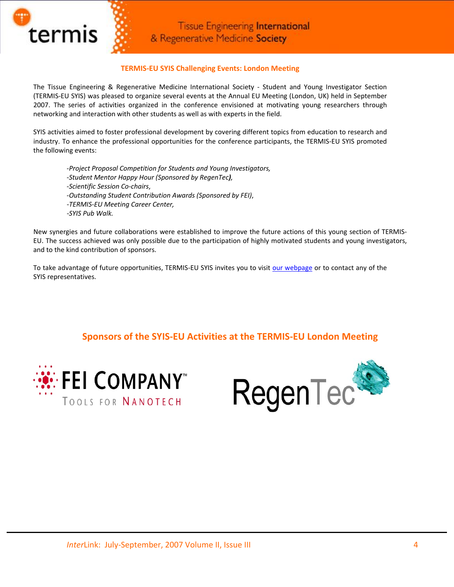

# **TERMIS‐EU SYIS Challenging Events: London Meeting**

The Tissue Engineering & Regenerative Medicine International Society ‐ Student and Young Investigator Section (TERMIS‐EU SYIS) was pleased to organize several events at the Annual EU Meeting (London, UK) held in September 2007. The series of activities organized in the conference envisioned at motivating young researchers through networking and interaction with other students as well as with experts in the field.

SYIS activities aimed to foster professional development by covering different topics from education to research and industry. To enhance the professional opportunities for the conference participants, the TERMIS‐EU SYIS promoted the following events:

*‐Project Proposal Competition for Students and Young Investigators, ‐Student Mentor Happy Hour (Sponsored by RegenTec),*  ‐*Scientific Session Co‐chairs*, ‐*Outstanding Student Contribution Awards (Sponsored by FEI)*, ‐*TERMIS‐EU Meeting Career Center, ‐SYIS Pub Walk.*

New synergies and future collaborations were established to improve the future actions of this young section of TERMIS‐ EU. The success achieved was only possible due to the participation of highly motivated students and young investigators, and to the kind contribution of sponsors.

To take advantage of future opportunities, TERMIS-EU SYIS invites you to visit our [webpage](http://www.termis.org/students.php) or to contact any of the SYIS representatives.

**Sponsors of the SYIS‐EU Activities at the TERMIS‐EU London Meeting**



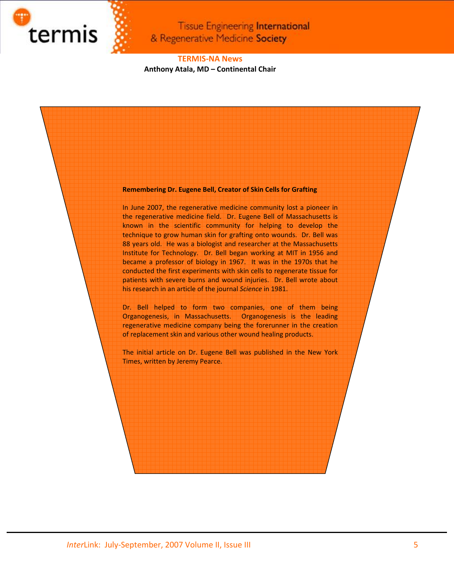

# **TERMIS‐NA News Anthony Atala, MD – Continental Chair**

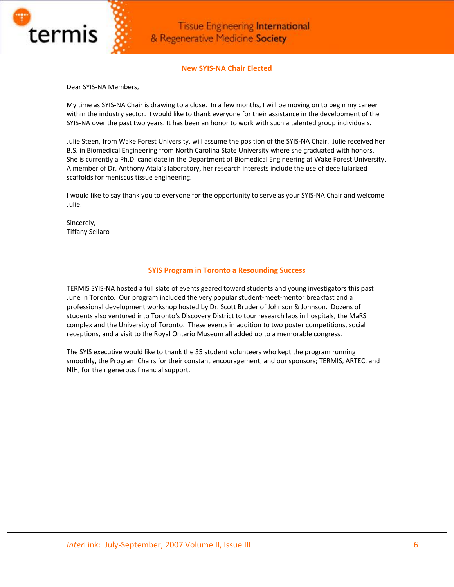

# **New SYIS‐NA Chair Elected**

Dear SYIS‐NA Members,

My time as SYIS‐NA Chair is drawing to a close. In a few months, I will be moving on to begin my career within the industry sector. I would like to thank everyone for their assistance in the development of the SYIS‐NA over the past two years. It has been an honor to work with such a talented group individuals.

Julie Steen, from Wake Forest University, will assume the position of the SYIS‐NA Chair. Julie received her B.S. in Biomedical Engineering from North Carolina State University where she graduated with honors. She is currently a Ph.D. candidate in the Department of Biomedical Engineering at Wake Forest University. A member of Dr. Anthony Atala's laboratory, her research interests include the use of decellularized scaffolds for meniscus tissue engineering.

I would like to say thank you to everyone for the opportunity to serve as your SYIS‐NA Chair and welcome Julie.

Sincerely, Tiffany Sellaro

# **SYIS Program in Toronto a Resounding Success**

TERMIS SYIS‐NA hosted a full slate of events geared toward students and young investigators this past June in Toronto. Our program included the very popular student‐meet‐mentor breakfast and a professional development workshop hosted by Dr. Scott Bruder of Johnson & Johnson. Dozens of students also ventured into Toronto's Discovery District to tour research labs in hospitals, the MaRS complex and the University of Toronto. These events in addition to two poster competitions, social receptions, and a visit to the Royal Ontario Museum all added up to a memorable congress.

The SYIS executive would like to thank the 35 student volunteers who kept the program running smoothly, the Program Chairs for their constant encouragement, and our sponsors; TERMIS, ARTEC, and NIH, for their generous financial support.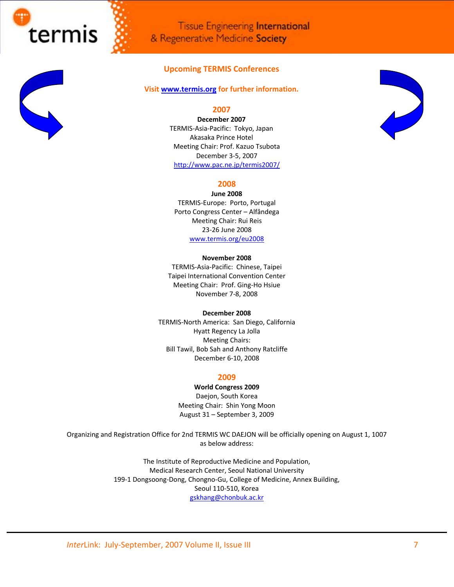

**Tissue Engineering International** & Regenerative Medicine Society

# **Upcoming TERMIS Conferences**

### **Visit [www.termis.org](http://www.termis.org/) for further information.**

# **2007**

**December 2007** TERMIS‐Asia‐Pacific: Tokyo, Japan Akasaka Prince Hotel Meeting Chair: Prof. Kazuo Tsubota December 3‐5, 2007 <http://www.pac.ne.jp/termis2007/>

# **2008**

**June 2008** TERMIS‐Europe: Porto, Portugal Porto Congress Center – Alfândega Meeting Chair: Rui Reis 23‐26 June 2008 [www.termis.org/eu2008](http://www.termis.org/eu2008)

#### **November 2008**

TERMIS‐Asia‐Pacific: Chinese, Taipei Taipei International Convention Center Meeting Chair: Prof. Ging‐Ho Hsiue November 7‐8, 2008

#### **December 2008**

TERMIS‐North America: San Diego, California Hyatt Regency La Jolla Meeting Chairs: Bill Tawil, Bob Sah and Anthony Ratcliffe December 6‐10, 2008

#### **2009**

**World Congress 2009** Daejon, South Korea

Meeting Chair: Shin Yong Moon August 31 – September 3, 2009

Organizing and Registration Office for 2nd TERMIS WC DAEJON will be officially opening on August 1, 1007 as below address:

> The Institute of Reproductive Medicine and Population, Medical Research Center, Seoul National University 199-1 Dongsoong-Dong, Chongno-Gu, College of Medicine, Annex Building, Seoul 110‐510, Korea [gskhang@chonbuk.ac.kr](mailto:gskhang@chonbuk.ac.kr)

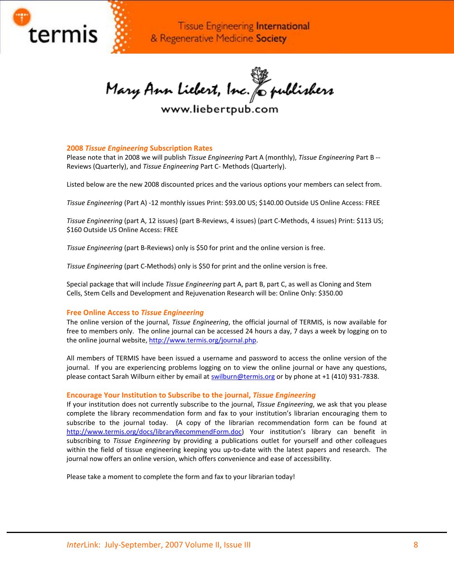

Mary Ann Liebert, Inc. & publishers

www.liebertpub.com

## **2008** *Tissue Engineering* **Subscription Rates**

Please note that in 2008 we will publish *Tissue Engineering* Part A (monthly), *Tissue Engineering* Part B ‐‐ Reviews (Quarterly), and *Tissue Engineering* Part C‐ Methods (Quarterly).

Listed below are the new 2008 discounted prices and the various options your members can select from.

*Tissue Engineering* (Part A) ‐12 monthly issues Print: \$93.00 US; \$140.00 Outside US Online Access: FREE

*Tissue Engineering* (part A, 12 issues) (part B‐Reviews, 4 issues) (part C‐Methods, 4 issues) Print: \$113 US; \$160 Outside US Online Access: FREE

*Tissue Engineering* (part B‐Reviews) only is \$50 for print and the online version is free.

*Tissue Engineering* (part C‐Methods) only is \$50 for print and the online version is free.

Special package that will include *Tissue Engineering* part A, part B, part C, as well as Cloning and Stem Cells, Stem Cells and Development and Rejuvenation Research will be: Online Only: \$350.00

## **Free Online Access to** *Tissue Engineering*

The online version of the journal, *Tissue Engineering*, the official journal of TERMIS, is now available for free to members only. The online journal can be accessed 24 hours a day, 7 days a week by logging on to the online journal website, [http://www.termis.org/journal.php.](http://www.termis.org/journal.php)

All members of TERMIS have been issued a username and password to access the online version of the journal. If you are experiencing problems logging on to view the online journal or have any questions, please contact Sarah Wilburn either by email at [swilburn@termis.org](mailto:swilburn@termis.org) or by phone at +1 (410) 931‐7838.

## **Encourage Your Institution to Subscribe to the journal,** *Tissue Engineering*

If your institution does not currently subscribe to the journal, *Tissue Engineering*, we ask that you please complete the library recommendation form and fax to your institution's librarian encouraging them to subscribe to the journal today. (A copy of the librarian recommendation form can be found at <http://www.termis.org/docs/libraryRecommendForm.doc>) Your institution's library can benefit in subscribing to *Tissue Engineering* by providing a publications outlet for yourself and other colleagues within the field of tissue engineering keeping you up‐to‐date with the latest papers and research. The journal now offers an online version, which offers convenience and ease of accessibility.

Please take a moment to complete the form and fax to your librarian today!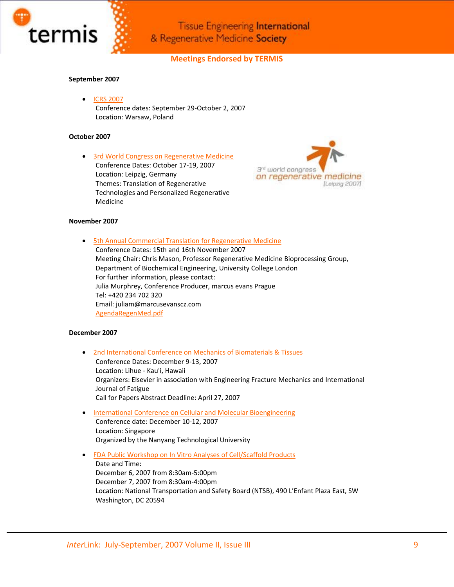

# **Meetings Endorsed by TERMIS**

#### **September 2007**

• ICRS [2007](http://www.cartilage.org/index.php?pid=34) Conference dates: September 29‐October 2, 2007 Location: Warsaw, Poland

#### **October 2007**

• 3rd World Congress on [Regenerative](http://www.regmed.org/) Medicine Conference Dates: October 17‐19, 2007 Location: Leipzig, Germany Themes: Translation of Regenerative Technologies and Personalized Regenerative Medicine



#### **November 2007**

• 5th Annual Commercial Translation for [Regenerative](http://www.melifesciences.com/event.asp?recID=12955) Medicine Conference Dates: 15th and 16th November 2007 Meeting Chair: Chris Mason, Professor Regenerative Medicine Bioprocessing Group, Department of Biochemical Engineering, University College London For further information, please contact: Julia Murphrey, Conference Producer, marcus evans Prague Tel: +420 234 702 320 Email: juliam@marcusevanscz.com [AgendaRegenMed.pdf](http://www.termis.org/docs/AgendaRegenMed.pdf)

#### **December 2007**

- 2nd [International](http://www.icombt.elsevier.com/) Conference on Mechanics of Biomaterials & Tissues Conference Dates: December 9‐13, 2007 Location: Lihue ‐ Kau'i, Hawaii Organizers: Elsevier in association with Engineering Fracture Mechanics and International Journal of Fatigue Call for Papers Abstract Deadline: April 27, 2007
- International Conference on Cellular and Molecular [Bioengineering](http://www.ntu.edu.sg/iccmb.home.htm) Conference date: December 10‐12, 2007 Location: Singapore Organized by the Nanyang Technological University
- FDA Public Workshop on In Vitro Analyses of [Cell/Scaffold](http://www.fda.gov/cber/meetings/invitro120607.htm) Products Date and Time: December 6, 2007 from 8:30am‐5:00pm December 7, 2007 from 8:30am‐4:00pm Location: National Transportation and Safety Board (NTSB), 490 L'Enfant Plaza East, SW Washington, DC 20594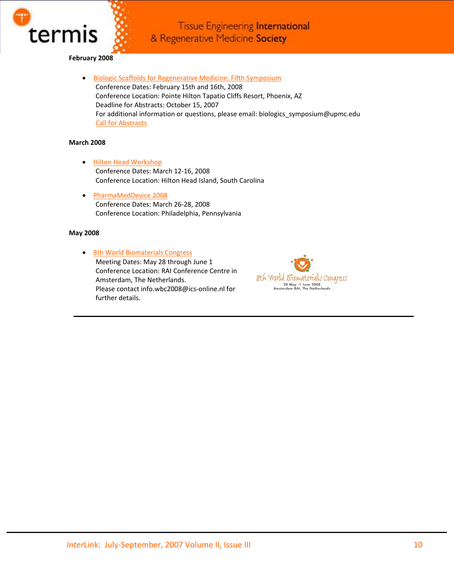

# **February 2008**

• Biologic Scaffolds for [Regenerative](http://www.mcgowan.pitt.edu/Biologics-Symposium) Medicine: Fifth Symposium Conference Dates: February 15th and 16th, 2008 Conference Location: Pointe Hilton Tapatio Cliffs Resort, Phoenix, AZ Deadline for Abstracts: October 15, 2007 For additional information or questions, please email: biologics\_symposium@upmc.edu Call for [Abstracts](http://www.termis.org/docs/BiologicScaffoldsForRegenerativeMedicine_CallForAbstracts.pdf)

## **March 2008**

- Hilton Head [Workshop](http://www.hiltonhead.gatech.edu/) Conference Dates: March 12‐16, 2008 Conference Location: Hilton Head Island, South Carolina
- [PharmaMedDevice](http://www.pharmameddevice.com/) 2008 Conference Dates: March 26‐28, 2008 Conference Location: Philadelphia, Pennsylvania

#### **May 2008**

• 8th World [Biomaterials](http://www.wbc2008.com/) Congress Meeting Dates: May 28 through June 1 Conference Location: RAI Conference Centre in Amsterdam, The Netherlands. Please contact info.wbc2008@ics‐online.nl for further details.

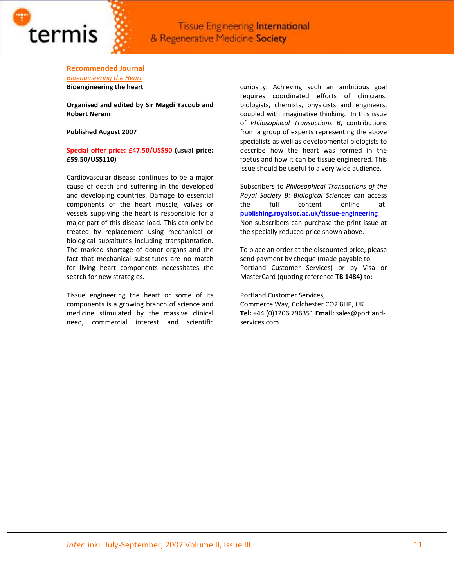

# **Recommended Journal**

*[Bioengineering](http://www.termis.org/docs/BioengineeringTheHeartAugust2007Print2PageFlyer.pdf) the Heart* **Bioengineering the heart**

**Organised and edited by Sir Magdi Yacoub and Robert Nerem**

**Published August 2007**

## **Special offer price: £47.50/US\$90 (usual price: £59.50/US\$110)**

Cardiovascular disease continues to be a major cause of death and suffering in the developed and developing countries. Damage to essential components of the heart muscle, valves or vessels supplying the heart is responsible for a major part of this disease load. This can only be treated by replacement using mechanical or biological substitutes including transplantation. The marked shortage of donor organs and the fact that mechanical substitutes are no match for living heart components necessitates the search for new strategies.

Tissue engineering the heart or some of its components is a growing branch of science and medicine stimulated by the massive clinical need, commercial interest and scientific

curiosity. Achieving such an ambitious goal requires coordinated efforts of clinicians, biologists, chemists, physicists and engineers, coupled with imaginative thinking. In this issue of *Philosophical Transactions B*, contributions from a group of experts representing the above specialists as well as developmental biologists to describe how the heart was formed in the foetus and how it can be tissue engineered. This issue should be useful to a very wide audience.

Subscribers to *Philosophical Transactions of the Royal Society B: Biological Sciences* can access the full content online at: **publishing.royalsoc.ac.uk/tissue‐engineering** Non‐subscribers can purchase the print issue at the specially reduced price shown above.

To place an order at the discounted price, please send payment by cheque (made payable to Portland Customer Services) or by Visa or MasterCard (quoting reference **TB 1484)** to:

Portland Customer Services, Commerce Way, Colchester CO2 8HP, UK **Tel:** +44 (0)1206 796351 **Email:** sales@portland‐ services.com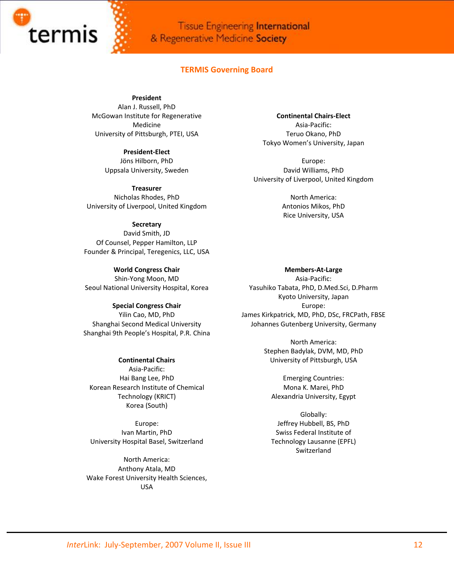![](_page_11_Picture_0.jpeg)

## **TERMIS Governing Board**

**President**

Alan J. Russell, PhD McGowan Institute for Regenerative Medicine University of Pittsburgh, PTEI, USA

> **President‐Elect** Jöns Hilborn, PhD Uppsala University, Sweden

**Treasurer** Nicholas Rhodes, PhD University of Liverpool, United Kingdom

#### **Secretary**

David Smith, JD Of Counsel, Pepper Hamilton, LLP Founder & Principal, Teregenics, LLC, USA

**World Congress Chair** Shin‐Yong Moon, MD Seoul National University Hospital, Korea

**Special Congress Chair** Yilin Cao, MD, PhD Shanghai Second Medical University Shanghai 9th People's Hospital, P.R. China

## **Continental Chairs**

Asia‐Pacific: Hai Bang Lee, PhD Korean Research Institute of Chemical Technology (KRICT) Korea (South)

Europe: Ivan Martin, PhD University Hospital Basel, Switzerland

North America: Anthony Atala, MD Wake Forest University Health Sciences, USA

**Continental Chairs‐Elect** Asia‐Pacific: Teruo Okano, PhD Tokyo Women's University, Japan

Europe: David Williams, PhD University of Liverpool, United Kingdom

> North America: Antonios Mikos, PhD Rice University, USA

**Members‐At‐Large** Asia‐Pacific: Yasuhiko Tabata, PhD, D.Med.Sci, D.Pharm Kyoto University, Japan Europe: James Kirkpatrick, MD, PhD, DSc, FRCPath, FBSE Johannes Gutenberg University, Germany

> North America: Stephen Badylak, DVM, MD, PhD University of Pittsburgh, USA

Emerging Countries: Mona K. Marei, PhD Alexandria University, Egypt

Globally: Jeffrey Hubbell, BS, PhD Swiss Federal Institute of Technology Lausanne (EPFL) Switzerland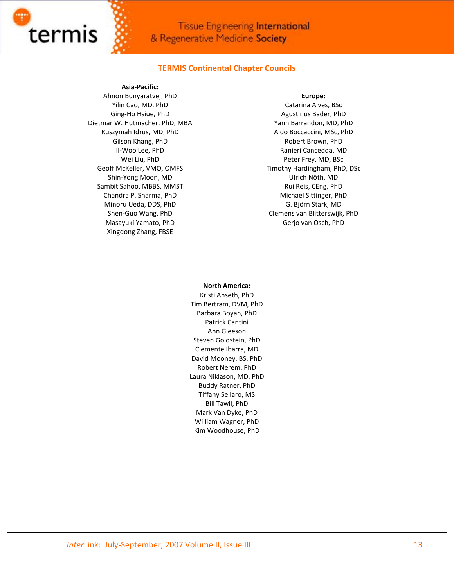![](_page_12_Picture_0.jpeg)

# **TERMIS Continental Chapter Councils**

## **Asia‐Pacific:**

Ahnon Bunyaratvej, PhD Yilin Cao, MD, PhD Ging‐Ho Hsiue, PhD Dietmar W. Hutmacher, PhD, MBA Ruszymah Idrus, MD, PhD Gilson Khang, PhD Il‐Woo Lee, PhD Wei Liu, PhD Geoff McKeller, VMO, OMFS Shin‐Yong Moon, MD Sambit Sahoo, MBBS, MMST Chandra P. Sharma, PhD Minoru Ueda, DDS, PhD Shen‐Guo Wang, PhD Masayuki Yamato, PhD Xingdong Zhang, FBSE

#### **Europe:**

Catarina Alves, BSc Agustinus Bader, PhD Yann Barrandon, MD, PhD Aldo Boccaccini, MSc, PhD Robert Brown, PhD Ranieri Cancedda, MD Peter Frey, MD, BSc Timothy Hardingham, PhD, DSc Ulrich Nöth, MD Rui Reis, CEng, PhD Michael Sittinger, PhD G. Björn Stark, MD Clemens van Blitterswijk, PhD Gerjo van Osch, PhD

#### **North America:**

Kristi Anseth, PhD Tim Bertram, DVM, PhD Barbara Boyan, PhD Patrick Cantini Ann Gleeson Steven Goldstein, PhD Clemente Ibarra, MD David Mooney, BS, PhD Robert Nerem, PhD Laura Niklason, MD, PhD Buddy Ratner, PhD Tiffany Sellaro, MS Bill Tawil, PhD Mark Van Dyke, PhD William Wagner, PhD Kim Woodhouse, PhD